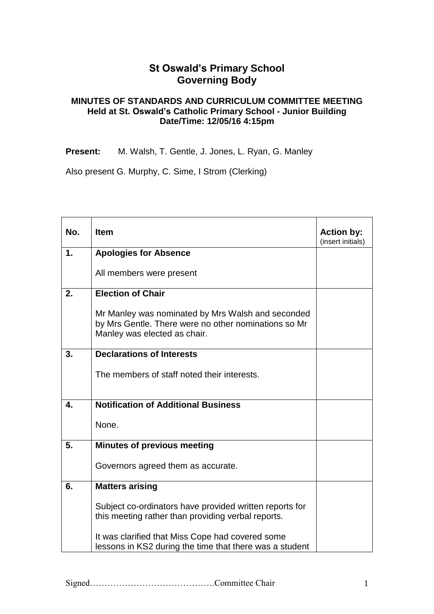## **St Oswald's Primary School Governing Body**

## **MINUTES OF STANDARDS AND CURRICULUM COMMITTEE MEETING Held at St. Oswald's Catholic Primary School - Junior Building Date/Time: 12/05/16 4:15pm**

**Present:** M. Walsh, T. Gentle, J. Jones, L. Ryan, G. Manley

Also present G. Murphy, C. Sime, I Strom (Clerking)

| No. | <b>Item</b>                                                                                                                               | <b>Action by:</b><br>(insert initials) |
|-----|-------------------------------------------------------------------------------------------------------------------------------------------|----------------------------------------|
| 1.  | <b>Apologies for Absence</b>                                                                                                              |                                        |
|     | All members were present                                                                                                                  |                                        |
| 2.  | <b>Election of Chair</b>                                                                                                                  |                                        |
|     | Mr Manley was nominated by Mrs Walsh and seconded<br>by Mrs Gentle. There were no other nominations so Mr<br>Manley was elected as chair. |                                        |
| 3.  | <b>Declarations of Interests</b>                                                                                                          |                                        |
|     | The members of staff noted their interests.                                                                                               |                                        |
| 4.  | <b>Notification of Additional Business</b>                                                                                                |                                        |
|     | None.                                                                                                                                     |                                        |
| 5.  | <b>Minutes of previous meeting</b>                                                                                                        |                                        |
|     | Governors agreed them as accurate.                                                                                                        |                                        |
| 6.  | <b>Matters arising</b>                                                                                                                    |                                        |
|     | Subject co-ordinators have provided written reports for<br>this meeting rather than providing verbal reports.                             |                                        |
|     | It was clarified that Miss Cope had covered some<br>lessons in KS2 during the time that there was a student                               |                                        |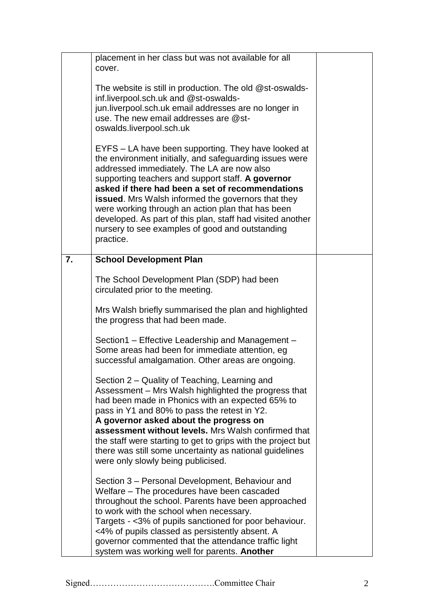|    | placement in her class but was not available for all<br>cover.                                                                                                                                                                                                                                                                                                                                                                                                                                                        |  |
|----|-----------------------------------------------------------------------------------------------------------------------------------------------------------------------------------------------------------------------------------------------------------------------------------------------------------------------------------------------------------------------------------------------------------------------------------------------------------------------------------------------------------------------|--|
|    | The website is still in production. The old @st-oswalds-<br>inf.liverpool.sch.uk and @st-oswalds-<br>jun.liverpool.sch.uk email addresses are no longer in<br>use. The new email addresses are @st-<br>oswalds.liverpool.sch.uk                                                                                                                                                                                                                                                                                       |  |
|    | EYFS – LA have been supporting. They have looked at<br>the environment initially, and safeguarding issues were<br>addressed immediately. The LA are now also<br>supporting teachers and support staff. A governor<br>asked if there had been a set of recommendations<br><b>issued.</b> Mrs Walsh informed the governors that they<br>were working through an action plan that has been<br>developed. As part of this plan, staff had visited another<br>nursery to see examples of good and outstanding<br>practice. |  |
| 7. | <b>School Development Plan</b>                                                                                                                                                                                                                                                                                                                                                                                                                                                                                        |  |
|    | The School Development Plan (SDP) had been<br>circulated prior to the meeting.                                                                                                                                                                                                                                                                                                                                                                                                                                        |  |
|    | Mrs Walsh briefly summarised the plan and highlighted<br>the progress that had been made.                                                                                                                                                                                                                                                                                                                                                                                                                             |  |
|    | Section1 – Effective Leadership and Management –<br>Some areas had been for immediate attention, eg<br>successful amalgamation. Other areas are ongoing.                                                                                                                                                                                                                                                                                                                                                              |  |
|    | Section 2 - Quality of Teaching, Learning and<br>Assessment – Mrs Walsh highlighted the progress that<br>had been made in Phonics with an expected 65% to<br>pass in Y1 and 80% to pass the retest in Y2.<br>A governor asked about the progress on<br>assessment without levels. Mrs Walsh confirmed that<br>the staff were starting to get to grips with the project but<br>there was still some uncertainty as national guidelines<br>were only slowly being publicised.                                           |  |
|    | Section 3 – Personal Development, Behaviour and<br>Welfare – The procedures have been cascaded<br>throughout the school. Parents have been approached<br>to work with the school when necessary.<br>Targets - <3% of pupils sanctioned for poor behaviour.<br><4% of pupils classed as persistently absent. A<br>governor commented that the attendance traffic light<br>system was working well for parents. Another                                                                                                 |  |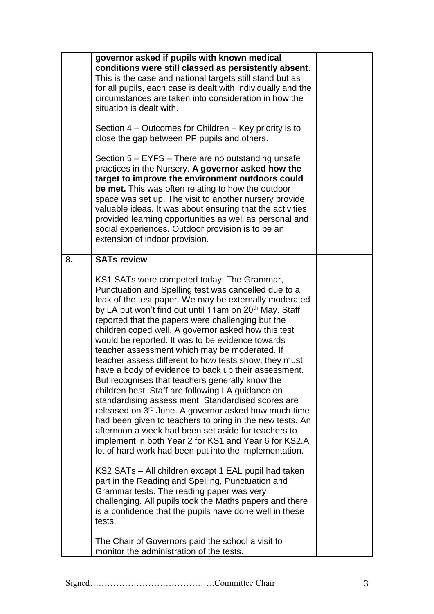|    | governor asked if pupils with known medical<br>conditions were still classed as persistently absent.<br>This is the case and national targets still stand but as<br>for all pupils, each case is dealt with individually and the<br>circumstances are taken into consideration in how the<br>situation is dealt with.<br>Section 4 – Outcomes for Children – Key priority is to<br>close the gap between PP pupils and others.<br>Section 5 – EYFS – There are no outstanding unsafe<br>practices in the Nursery. A governor asked how the<br>target to improve the environment outdoors could<br>be met. This was often relating to how the outdoor<br>space was set up. The visit to another nursery provide<br>valuable ideas. It was about ensuring that the activities<br>provided learning opportunities as well as personal and<br>social experiences. Outdoor provision is to be an<br>extension of indoor provision.                                                                                                                                                                                                                                                                                                                                                                                                                                                                                                                                 |  |
|----|---------------------------------------------------------------------------------------------------------------------------------------------------------------------------------------------------------------------------------------------------------------------------------------------------------------------------------------------------------------------------------------------------------------------------------------------------------------------------------------------------------------------------------------------------------------------------------------------------------------------------------------------------------------------------------------------------------------------------------------------------------------------------------------------------------------------------------------------------------------------------------------------------------------------------------------------------------------------------------------------------------------------------------------------------------------------------------------------------------------------------------------------------------------------------------------------------------------------------------------------------------------------------------------------------------------------------------------------------------------------------------------------------------------------------------------------------------------|--|
| 8. | <b>SATs review</b><br>KS1 SATs were competed today. The Grammar,<br>Punctuation and Spelling test was cancelled due to a<br>leak of the test paper. We may be externally moderated<br>by LA but won't find out until 11am on 20 <sup>th</sup> May. Staff<br>reported that the papers were challenging but the<br>children coped well. A governor asked how this test<br>would be reported. It was to be evidence towards<br>teacher assessment which may be moderated. If<br>teacher assess different to how tests show, they must<br>have a body of evidence to back up their assessment.<br>But recognises that teachers generally know the<br>children best. Staff are following LA guidance on<br>standardising assess ment. Standardised scores are<br>released on 3 <sup>rd</sup> June. A governor asked how much time<br>had been given to teachers to bring in the new tests. An<br>afternoon a week had been set aside for teachers to<br>implement in both Year 2 for KS1 and Year 6 for KS2.A<br>lot of hard work had been put into the implementation.<br>KS2 SATs - All children except 1 EAL pupil had taken<br>part in the Reading and Spelling, Punctuation and<br>Grammar tests. The reading paper was very<br>challenging. All pupils took the Maths papers and there<br>is a confidence that the pupils have done well in these<br>tests.<br>The Chair of Governors paid the school a visit to<br>monitor the administration of the tests. |  |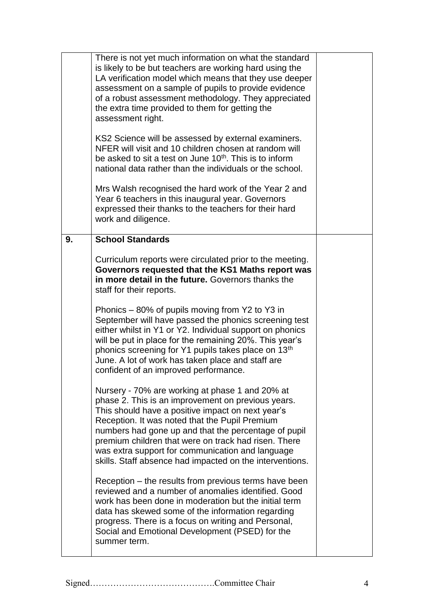|    | There is not yet much information on what the standard<br>is likely to be but teachers are working hard using the<br>LA verification model which means that they use deeper<br>assessment on a sample of pupils to provide evidence<br>of a robust assessment methodology. They appreciated<br>the extra time provided to them for getting the<br>assessment right.<br>KS2 Science will be assessed by external examiners.<br>NFER will visit and 10 children chosen at random will<br>be asked to sit a test on June 10 <sup>th</sup> . This is to inform<br>national data rather than the individuals or the school.<br>Mrs Walsh recognised the hard work of the Year 2 and<br>Year 6 teachers in this inaugural year. Governors |  |
|----|-------------------------------------------------------------------------------------------------------------------------------------------------------------------------------------------------------------------------------------------------------------------------------------------------------------------------------------------------------------------------------------------------------------------------------------------------------------------------------------------------------------------------------------------------------------------------------------------------------------------------------------------------------------------------------------------------------------------------------------|--|
|    | expressed their thanks to the teachers for their hard<br>work and diligence.                                                                                                                                                                                                                                                                                                                                                                                                                                                                                                                                                                                                                                                        |  |
| 9. | <b>School Standards</b>                                                                                                                                                                                                                                                                                                                                                                                                                                                                                                                                                                                                                                                                                                             |  |
|    | Curriculum reports were circulated prior to the meeting.<br>Governors requested that the KS1 Maths report was<br>in more detail in the future. Governors thanks the<br>staff for their reports.                                                                                                                                                                                                                                                                                                                                                                                                                                                                                                                                     |  |
|    | Phonics – 80% of pupils moving from Y2 to Y3 in<br>September will have passed the phonics screening test<br>either whilst in Y1 or Y2. Individual support on phonics<br>will be put in place for the remaining 20%. This year's<br>phonics screening for Y1 pupils takes place on 13 <sup>th</sup><br>June. A lot of work has taken place and staff are<br>confident of an improved performance.                                                                                                                                                                                                                                                                                                                                    |  |
|    | Nursery - 70% are working at phase 1 and 20% at<br>phase 2. This is an improvement on previous years.<br>This should have a positive impact on next year's<br>Reception. It was noted that the Pupil Premium<br>numbers had gone up and that the percentage of pupil<br>premium children that were on track had risen. There<br>was extra support for communication and language<br>skills. Staff absence had impacted on the interventions.                                                                                                                                                                                                                                                                                        |  |
|    | Reception – the results from previous terms have been<br>reviewed and a number of anomalies identified. Good<br>work has been done in moderation but the initial term<br>data has skewed some of the information regarding<br>progress. There is a focus on writing and Personal,<br>Social and Emotional Development (PSED) for the<br>summer term.                                                                                                                                                                                                                                                                                                                                                                                |  |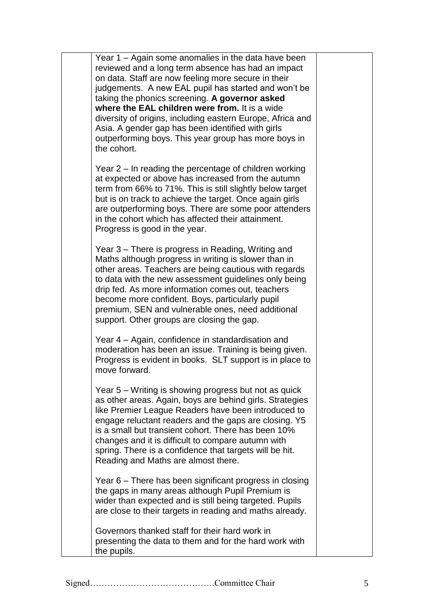| Year 1 – Again some anomalies in the data have been<br>reviewed and a long term absence has had an impact<br>on data. Staff are now feeling more secure in their<br>judgements. A new EAL pupil has started and won't be<br>taking the phonics screening. A governor asked<br>where the EAL children were from. It is a wide<br>diversity of origins, including eastern Europe, Africa and<br>Asia. A gender gap has been identified with girls<br>outperforming boys. This year group has more boys in<br>the cohort. |  |
|------------------------------------------------------------------------------------------------------------------------------------------------------------------------------------------------------------------------------------------------------------------------------------------------------------------------------------------------------------------------------------------------------------------------------------------------------------------------------------------------------------------------|--|
| Year 2 – In reading the percentage of children working<br>at expected or above has increased from the autumn<br>term from 66% to 71%. This is still slightly below target<br>but is on track to achieve the target. Once again girls<br>are outperforming boys. There are some poor attenders<br>in the cohort which has affected their attainment.<br>Progress is good in the year.                                                                                                                                   |  |
| Year 3 – There is progress in Reading, Writing and<br>Maths although progress in writing is slower than in<br>other areas. Teachers are being cautious with regards<br>to data with the new assessment guidelines only being<br>drip fed. As more information comes out, teachers<br>become more confident. Boys, particularly pupil<br>premium, SEN and vulnerable ones, need additional<br>support. Other groups are closing the gap.                                                                                |  |
| Year 4 – Again, confidence in standardisation and<br>moderation has been an issue. Training is being given.<br>Progress is evident in books. SLT support is in place to<br>move forward.                                                                                                                                                                                                                                                                                                                               |  |
| Year 5 - Writing is showing progress but not as quick<br>as other areas. Again, boys are behind girls. Strategies<br>like Premier League Readers have been introduced to<br>engage reluctant readers and the gaps are closing. Y5<br>is a small but transient cohort. There has been 10%<br>changes and it is difficult to compare autumn with<br>spring. There is a confidence that targets will be hit.<br>Reading and Maths are almost there.                                                                       |  |
| Year 6 – There has been significant progress in closing<br>the gaps in many areas although Pupil Premium is<br>wider than expected and is still being targeted. Pupils<br>are close to their targets in reading and maths already.                                                                                                                                                                                                                                                                                     |  |
| Governors thanked staff for their hard work in<br>presenting the data to them and for the hard work with<br>the pupils.                                                                                                                                                                                                                                                                                                                                                                                                |  |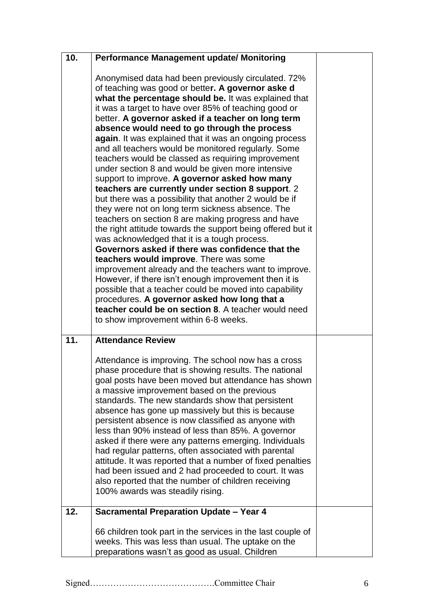| 10. | <b>Performance Management update/ Monitoring</b>                                                                                                                                                                                                                                                                                                                                                                                                                                                                                                                                                                                                                                                                                                                                                                                                                                                                                                                                                                                                                                                                                                                                                                                                                                                                                                                              |  |
|-----|-------------------------------------------------------------------------------------------------------------------------------------------------------------------------------------------------------------------------------------------------------------------------------------------------------------------------------------------------------------------------------------------------------------------------------------------------------------------------------------------------------------------------------------------------------------------------------------------------------------------------------------------------------------------------------------------------------------------------------------------------------------------------------------------------------------------------------------------------------------------------------------------------------------------------------------------------------------------------------------------------------------------------------------------------------------------------------------------------------------------------------------------------------------------------------------------------------------------------------------------------------------------------------------------------------------------------------------------------------------------------------|--|
|     | Anonymised data had been previously circulated. 72%<br>of teaching was good or better. A governor aske d<br>what the percentage should be. It was explained that<br>it was a target to have over 85% of teaching good or<br>better. A governor asked if a teacher on long term<br>absence would need to go through the process<br>again. It was explained that it was an ongoing process<br>and all teachers would be monitored regularly. Some<br>teachers would be classed as requiring improvement<br>under section 8 and would be given more intensive<br>support to improve. A governor asked how many<br>teachers are currently under section 8 support. 2<br>but there was a possibility that another 2 would be if<br>they were not on long term sickness absence. The<br>teachers on section 8 are making progress and have<br>the right attitude towards the support being offered but it<br>was acknowledged that it is a tough process.<br>Governors asked if there was confidence that the<br>teachers would improve. There was some<br>improvement already and the teachers want to improve.<br>However, if there isn't enough improvement then it is<br>possible that a teacher could be moved into capability<br>procedures. A governor asked how long that a<br>teacher could be on section 8. A teacher would need<br>to show improvement within 6-8 weeks. |  |
| 11. | <b>Attendance Review</b><br>Attendance is improving. The school now has a cross<br>phase procedure that is showing results. The national<br>goal posts have been moved but attendance has shown<br>a massive improvement based on the previous<br>standards. The new standards show that persistent<br>absence has gone up massively but this is because<br>persistent absence is now classified as anyone with<br>less than 90% instead of less than 85%. A governor<br>asked if there were any patterns emerging. Individuals<br>had regular patterns, often associated with parental<br>attitude. It was reported that a number of fixed penalties<br>had been issued and 2 had proceeded to court. It was<br>also reported that the number of children receiving<br>100% awards was steadily rising.                                                                                                                                                                                                                                                                                                                                                                                                                                                                                                                                                                      |  |
| 12. | <b>Sacramental Preparation Update - Year 4</b>                                                                                                                                                                                                                                                                                                                                                                                                                                                                                                                                                                                                                                                                                                                                                                                                                                                                                                                                                                                                                                                                                                                                                                                                                                                                                                                                |  |
|     | 66 children took part in the services in the last couple of<br>weeks. This was less than usual. The uptake on the<br>preparations wasn't as good as usual. Children                                                                                                                                                                                                                                                                                                                                                                                                                                                                                                                                                                                                                                                                                                                                                                                                                                                                                                                                                                                                                                                                                                                                                                                                           |  |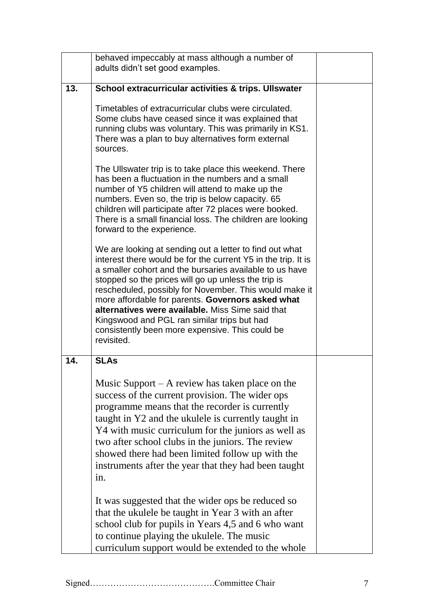|     | behaved impeccably at mass although a number of<br>adults didn't set good examples.                                                                                                                                                                                                                                                                                                                                                                                                                                           |  |
|-----|-------------------------------------------------------------------------------------------------------------------------------------------------------------------------------------------------------------------------------------------------------------------------------------------------------------------------------------------------------------------------------------------------------------------------------------------------------------------------------------------------------------------------------|--|
| 13. | School extracurricular activities & trips. Ullswater                                                                                                                                                                                                                                                                                                                                                                                                                                                                          |  |
|     | Timetables of extracurricular clubs were circulated.<br>Some clubs have ceased since it was explained that<br>running clubs was voluntary. This was primarily in KS1.<br>There was a plan to buy alternatives form external<br>sources.                                                                                                                                                                                                                                                                                       |  |
|     | The Ullswater trip is to take place this weekend. There<br>has been a fluctuation in the numbers and a small<br>number of Y5 children will attend to make up the<br>numbers. Even so, the trip is below capacity. 65<br>children will participate after 72 places were booked.<br>There is a small financial loss. The children are looking<br>forward to the experience.                                                                                                                                                     |  |
|     | We are looking at sending out a letter to find out what<br>interest there would be for the current Y5 in the trip. It is<br>a smaller cohort and the bursaries available to us have<br>stopped so the prices will go up unless the trip is<br>rescheduled, possibly for November. This would make it<br>more affordable for parents. Governors asked what<br>alternatives were available. Miss Sime said that<br>Kingswood and PGL ran similar trips but had<br>consistently been more expensive. This could be<br>revisited. |  |
| 14. | <b>SLAs</b>                                                                                                                                                                                                                                                                                                                                                                                                                                                                                                                   |  |
|     | Music Support $-$ A review has taken place on the<br>success of the current provision. The wider ops<br>programme means that the recorder is currently<br>taught in Y2 and the ukulele is currently taught in<br>Y4 with music curriculum for the juniors as well as<br>two after school clubs in the juniors. The review<br>showed there had been limited follow up with the<br>instruments after the year that they had been taught<br>in.                                                                                  |  |
|     | It was suggested that the wider ops be reduced so<br>that the ukulele be taught in Year 3 with an after<br>school club for pupils in Years 4,5 and 6 who want<br>to continue playing the ukulele. The music<br>curriculum support would be extended to the whole                                                                                                                                                                                                                                                              |  |